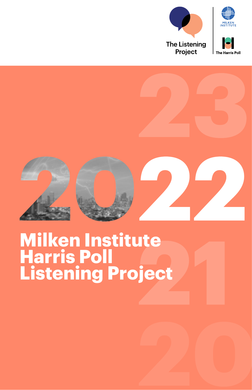



# **Milken Institute Harris Poll Listening Project**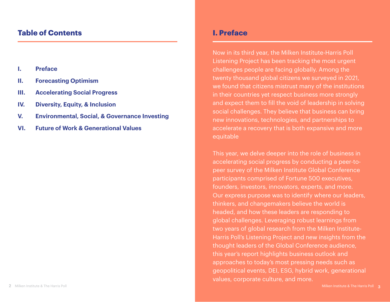# **Table of Contents**

- **I. Preface**
- **II. Forecasting Optimism**
- **III. Accelerating Social Progress**
- **IV. Diversity, Equity, & Inclusion**
- **V. Environmental, Social, & Governance Investing**
- **VI. Future of Work & Generational Values**

# **I. Preface**

Now in its third year, the Milken Institute-Harris Poll Listening Project has been tracking the most urgent challenges people are facing globally. Among the twenty thousand global citizens we surveyed in 2021, we found that citizens mistrust many of the institutions in their countries yet respect business more strongly and expect them to fill the void of leadership in solving social challenges. They believe that business can bring new innovations, technologies, and partnerships to accelerate a recovery that is both expansive and more equitable

This year, we delve deeper into the role of business in accelerating social progress by conducting a peer-topeer survey of the Milken Institute Global Conference participants comprised of Fortune 500 executives, founders, investors, innovators, experts, and more. Our express purpose was to identify where our leaders, thinkers, and changemakers believe the world is headed, and how these leaders are responding to global challenges. Leveraging robust learnings from two years of global research from the Milken Institute-Harris Poll's Listening Project and new insights from the thought leaders of the Global Conference audience, this year's report highlights business outlook and approaches to today's most pressing needs such as geopolitical events, DEI, ESG, hybrid work, generational values, corporate culture, and more.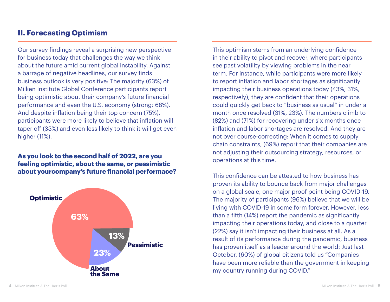# **II. Forecasting Optimism**

Our survey findings reveal a surprising new perspective for business today that challenges the way we think about the future amid current global instability. Against a barrage of negative headlines, our survey finds business outlook is very positive: The majority (63%) of Milken Institute Global Conference participants report being optimistic about their company's future financial performance and even the U.S. economy (strong: 68%). And despite inflation being their top concern (75%), participants were more likely to believe that inflation will taper off (33%) and even less likely to think it will get even higher (11%).

#### **As you look to the second half of 2022, are you feeling optimistic, about the same, or pessimistic about yourcompany's future financial performace?**



This optimism stems from an underlying confidence in their ability to pivot and recover, where participants see past volatility by viewing problems in the near term. For instance, while participants were more likely to report inflation and labor shortages as significantly impacting their business operations today (43%, 31%, respectively), they are confident that their operations could quickly get back to "business as usual" in under a month once resolved (31%, 23%). The numbers climb to (82%) and (71%) for recovering under six months once inflation and labor shortages are resolved. And they are not over course-correcting: When it comes to supply chain constraints, (69%) report that their companies are not adjusting their outsourcing strategy, resources, or operations at this time.

This confidence can be attested to how business has proven its ability to bounce back from major challenges on a global scale, one major proof point being COVID-19. The majority of participants (96%) believe that we will be living with COVID-19 in some form forever. However, less than a fifth (14%) report the pandemic as significantly impacting their operations today, and close to a quarter (22%) say it isn't impacting their business at all. As a result of its performance during the pandemic, business has proven itself as a leader around the world: Just last October, (60%) of global citizens told us "Companies have been more reliable than the government in keeping my country running during COVID."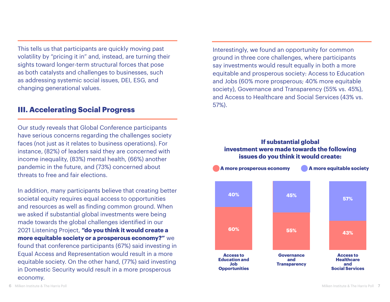This tells us that participants are quickly moving past volatility by "pricing it in" and, instead, are turning their sights toward longer-term structural forces that pose as both catalysts and challenges to businesses, such as addressing systemic social issues, DEI, ESG, and changing generational values.

## **III. Accelerating Social Progress**

Our study reveals that Global Conference participants have serious concerns regarding the challenges society faces (not just as it relates to business operations). For instance, (82%) of leaders said they are concerned with income inequality, (83%) mental health, (66%) another pandemic in the future, and (73%) concerned about threats to free and fair elections.

In addition, many participants believe that creating better societal equity requires equal access to opportunities and resources as well as finding common ground. When we asked if substantial global investments were being made towards the global challenges identified in our 2021 Listening Project, **"do you think it would create a more equitable society or a prosperous economy?"** we found that conference participants (67%) said investing in Equal Access and Representation would result in a more equitable society. On the other hand, (77%) said investing in Domestic Security would result in a more prosperous economy.

Interestingly, we found an opportunity for common ground in three core challenges, where participants say investments would result equally in both a more equitable and prosperous society: Access to Education and Jobs (60% more prosperous; 40% more equitable society), Governance and Transparency (55% vs. 45%), and Access to Healthcare and Social Services (43% vs. 57%).

#### **If substantial global investment were made towards the following issues do you think it would create:**

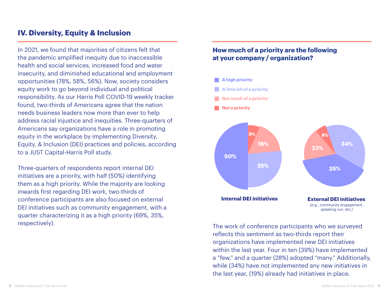# **IV. Diversity, Equity & Inclusion**

In 2021, we found that majorities of citizens felt that the pandemic amplified inequity due to inaccessible health and social services, increased food and water insecurity, and diminished educational and employment opportunities (78%, 58%, 56%). Now, society considers equity work to go beyond individual and political responsibility. As our Harris Poll COVID-19 weekly tracker found, two-thirds of Americans agree that the nation needs business leaders now more than ever to help address racial injustice and inequities. Three-quarters of Americans say organizations have a role in promoting equity in the workplace by implementing Diversity, **Equity, & Inclusion (DEI) practices and policies, according** to a JUST Capital-Harris Poll study.

Three-quarters of respondents report internal DEI initiatives are a priority, with half (50%) identifying **Not a priority** them as a high priority. While the majority are looking inwards first regarding DEI work, two-thirds of conference participants are also focused on external DEI initiatives such as community engagement, with a quarter characterizing it as a high priority (69%, 35%, respectively).

## **How much of a priority are the following at your company / organization?**



The work of conference participants who we surveyed reflects this sentiment as two-thirds report their organizations have implemented new DEI initiatives within the last year. Four in ten (39%) have implemented a "few," and a quarter (28%) adopted "many." Additionally, while (34%) have not implemented any new initiatives in the last year, (19%) already had initiatives in place.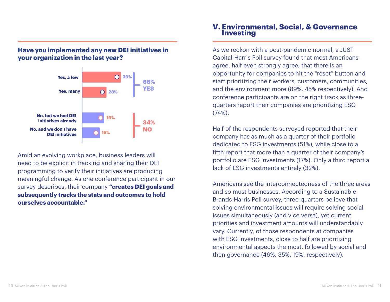

### **Have you implemented any new DEI initiatives in your organization in the last year?**

Amid an evolving workplace, business leaders will need to be explicit in tracking and sharing their DEI programming to verify their initiatives are producing meaningful change. As one conference participant in our survey describes, their company **"creates DEI goals and subsequently tracks the stats and outcomes to hold ourselves accountable."** 

#### **V. Environmental, Social, & Governance Investing**

As we reckon with a post-pandemic normal, a JUST Capital-Harris Poll survey found that most Americans agree, half even strongly agree, that there is an opportunity for companies to hit the "reset" button and start prioritizing their workers, customers, communities, and the environment more (89%, 45% respectively). And conference participants are on the right track as threequarters report their companies are prioritizing ESG (74%).

Half of the respondents surveyed reported that their company has as much as a quarter of their portfolio dedicated to ESG investments (51%), while close to a fifth report that more than a quarter of their company's portfolio are ESG investments (17%). Only a third report a lack of ESG investments entirely (32%).

Americans see the interconnectedness of the three areas and so must businesses. According to a Sustainable Brands-Harris Poll survey, three-quarters believe that solving environmental issues will require solving social issues simultaneously (and vice versa), yet current priorities and investment amounts will understandably vary. Currently, of those respondents at companies with ESG investments, close to half are prioritizing environmental aspects the most, followed by social and then governance (46%, 35%, 19%, respectively).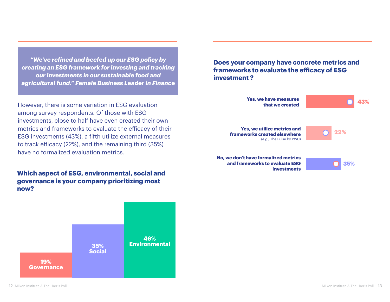*"We've refined and beefed up our ESG policy by creating an ESG framework for investing and tracking our investments in our sustainable food and agricultural fund." Female Business Leader in Finance* 

However, there is some variation in ESG evaluation among survey respondents. Of those with ESG investments, close to half have even created their own metrics and frameworks to evaluate the efficacy of their ESG investments (43%), a fifth utilize external measures to track efficacy (22%), and the remaining third (35%) have no formalized evaluation metrics.

**Which aspect of ESG, environmental, social and governance is your company prioritizing most now?**



**Does your company have concrete metrics and frameworks to evaluate the efficacy of ESG investment ?**

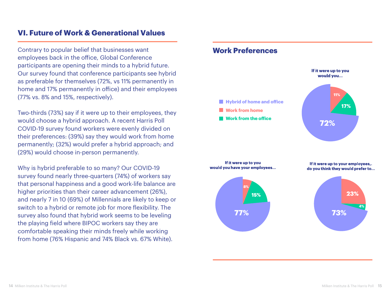# **VI. Future of Work & Generational Values**

Contrary to popular belief that businesses want employees back in the office, Global Conference participants are opening their minds to a hybrid future. Our survey found that conference participants see hybrid as preferable for themselves (72%, vs 11% permanently in home and 17% permanently in office) and their employees (77% vs. 8% and 15%, respectively).

Two-thirds (73%) say if it were up to their employees, they would choose a hybrid approach. A recent Harris Poll COVID-19 survey found workers were evenly divided on their preferences: (39%) say they would work from home permanently; (32%) would prefer a hybrid approach; and (29%) would choose in-person permanently.

Why is hybrid preferable to so many? Our COVID-19 survey found nearly three-quarters (74%) of workers say that personal happiness and a good work-life balance are **11%** higher priorities than their career advancement (26%), and nearly 7 in 10 (69%) of Millennials are likely to keep or switch to a hybrid or remote job for more flexibility. The survey also found that hybrid work seems to be leveling **72%** the playing field where BIPOC workers say they are comfortable speaking their minds freely while working from home (76% Hispanic and 74% Black vs. 67% White).

### **Work Preferences**



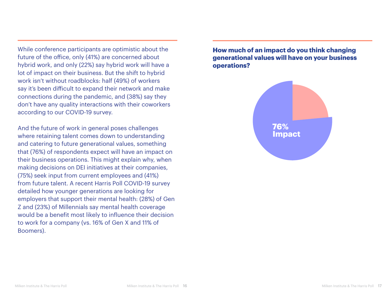While conference participants are optimistic about the future of the office, only (41%) are concerned about hybrid work, and only (22%) say hybrid work will have a lot of impact on their business. But the shift to hybrid work isn't without roadblocks: half (49%) of workers say it's been difficult to expand their network and make connections during the pandemic, and (38%) say they don't have any quality interactions with their coworkers according to our COVID-19 survey.

And the future of work in general poses challenges where retaining talent comes down to understanding and catering to future generational values, something that (76%) of respondents expect will have an impact on their business operations. This might explain why, when making decisions on DEI initiatives at their companies, (75%) seek input from current employees and (41%) from future talent. A recent Harris Poll COVID-19 survey detailed how younger generations are looking for employers that support their mental health: (28%) of Gen Z and (23%) of Millennials say mental health coverage would be a benefit most likely to influence their decision to work for a company (vs. 16% of Gen X and 11% of Boomers).

**How much of an impact do you think changing generational values will have on your business operations?**

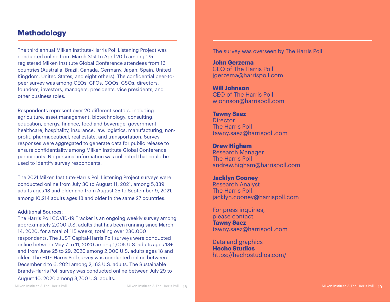# **Methodology**

The third annual Milken Institute-Harris Poll Listening Project was conducted online from March 31st to April 20th among 175 registered Milken Institute Global Conference attendees from 16 countries (Australia, Brazil, Canada, Germany, Japan, Spain, United Kingdom, United States, and eight others). The confidential peer-topeer survey was among CEOs, CFOs, COOs, CSOs, directors, founders, investors, managers, presidents, vice presidents, and other business roles.

Respondents represent over 20 different sectors, including agriculture, asset management, biotechnology, consulting, education, energy, finance, food and beverage, government, healthcare, hospitality, insurance, law, logistics, manufacturing, nonprofit, pharmaceutical, real estate, and transportation. Survey responses were aggregated to generate data for public release to ensure confidentiality among Milken Institute Global Conference participants. No personal information was collected that could be used to identify survey respondents.

The 2021 Milken Institute-Harris Poll Listening Project surveys were conducted online from July 30 to August 11, 2021, among 5,839 adults ages 18 and older and from August 25 to September 9, 2021, among 10,214 adults ages 18 and older in the same 27 countries.

#### Additional Sources:

The Harris Poll COVID-19 Tracker is an ongoing weekly survey among approximately 2,000 U.S. adults that has been running since March 14, 2020, for a total of 115 weeks, totaling over 230,000 respondents. The JUST Capital-Harris Poll surveys were conducted online between May 7 to 11, 2020 among 1,005 U.S. adults ages 18+ and from June 25 to 29, 2020 among 2,000 U.S. adults ages 18 and older. The HUE-Harris Poll survey was conducted online between December 4 to 6, 2021 among 2,163 U.S. adults. The Sustainable Brands-Harris Poll survey was conducted online between July 29 to

The survey was overseen by The Harris Poll

**John Gerzema** CEO of The Harris Poll jgerzema@harrispoll.com

**Will Johnson** CEO of The Harris Poll wjohnson@harrispoll.com

#### **Tawny Saez Director**

The Harris Poll tawny.saez@harrispoll.com

**Drew Higham**

Research Manager The Harris Poll andrew.higham@harrispoll.com

**Jacklyn Cooney** Research Analyst The Harris Poll jacklyn.cooney@harrispoll.com

For press inquiries, please contact **Tawny Saez** tawny.saez@harrispoll.com

Data and graphics **Hecho Studios** https://hechostudios.com/

August 10, 2020 among 3,700 U.S. adults.